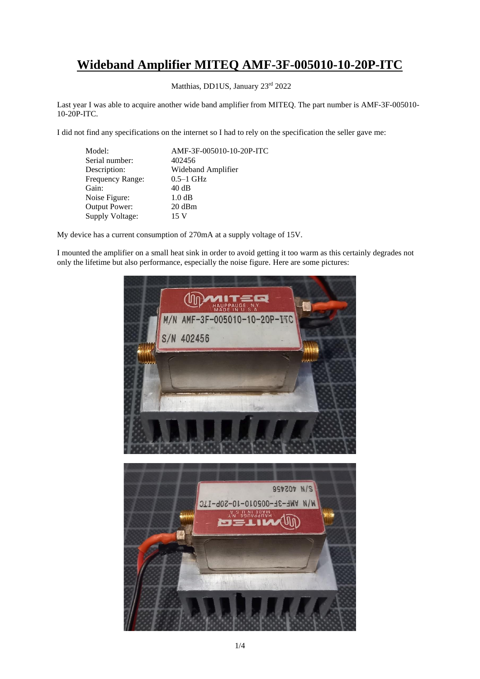## **Wideband Amplifier MITEQ AMF-3F-005010-10-20P-ITC**

Matthias, DD1US, January 23rd 2022

Last year I was able to acquire another wide band amplifier from MITEQ. The part number is AMF-3F-005010- 10-20P-ITC.

I did not find any specifications on the internet so I had to rely on the specification the seller gave me:

| Model:           | AMF-3F-005010-10-20P-ITC |
|------------------|--------------------------|
| Serial number:   | 402456                   |
| Description:     | Wideband Amplifier       |
| Frequency Range: | $0.5-1$ GHz              |
| Gain:            | 40dB                     |
| Noise Figure:    | 1.0 dB                   |
| Output Power:    | $20 \text{ dBm}$         |
| Supply Voltage:  | 15 V                     |
|                  |                          |

My device has a current consumption of 270mA at a supply voltage of 15V.

I mounted the amplifier on a small heat sink in order to avoid getting it too warm as this certainly degrades not only the lifetime but also performance, especially the noise figure. Here are some pictures:

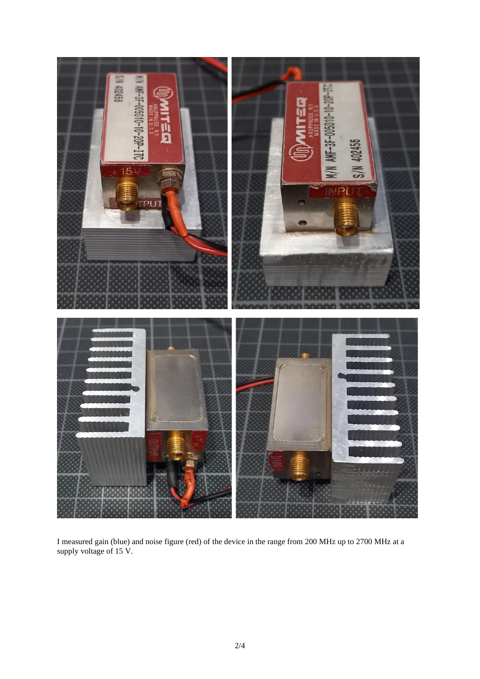

I measured gain (blue) and noise figure (red) of the device in the range from 200 MHz up to 2700 MHz at a supply voltage of 15 V.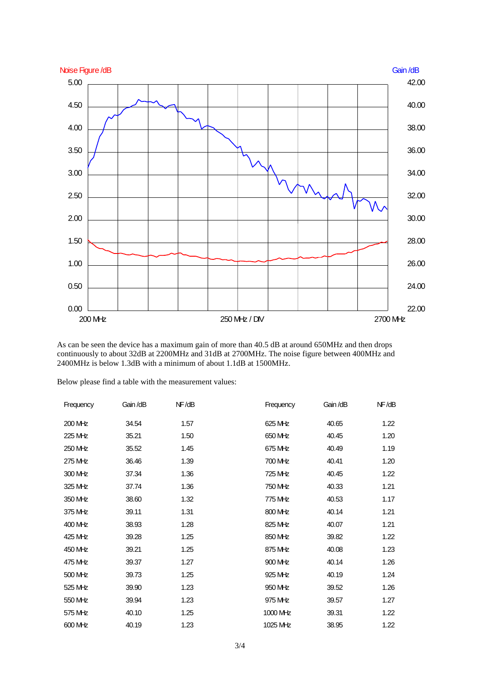

As can be seen the device has a maximum gain of more than  $40.5 dB$  at around 650MHz and then drops continuously to about 32dB at 2200MHz and 31dB at 2700MHz. The noise figure between 400MHz and 2400MHz is below 1.3dB with a minimum of about 1.1dB at 1500MHz.

Below please find a table with the measurement values:

| Frequency | Gain/dB | NF/dB | Frequency | Gain/dB | NF/dB |
|-----------|---------|-------|-----------|---------|-------|
| 200 MHz   | 34.54   | 1.57  | 625 MHz   | 40.65   | 1.22  |
| 225 MHz   | 35.21   | 1.50  | 650 MHz   | 40.45   | 1.20  |
| 250 MHz   | 35.52   | 1.45  | 675 MHz   | 40.49   | 1.19  |
| 275 MHz   | 36.46   | 1.39  | 700 MHz   | 40.41   | 1.20  |
| 300 MHz   | 37.34   | 1.36  | 725 MHz   | 40.45   | 1.22  |
| 325 MHz   | 37.74   | 1.36  | 750 MHz   | 40.33   | 1.21  |
| 350 MHz   | 38.60   | 1.32  | 775 MHz   | 40.53   | 1.17  |
| 375 MHz   | 39.11   | 1.31  | 800 MHz   | 40.14   | 1.21  |
| $400$ MHz | 38.93   | 1.28  | 825 MHz   | 40.07   | 1.21  |
| 425 MHz   | 39.28   | 1.25  | 850 MHz   | 39.82   | 1.22  |
| 450 MHz   | 39.21   | 1.25  | 875 MHz   | 40.08   | 1.23  |
| 475 MHz   | 39.37   | 1.27  | 900 MHz   | 40.14   | 1.26  |
| 500 MHz   | 39.73   | 1.25  | 925 MHz   | 40.19   | 1.24  |
| 525 MHz   | 39.90   | 1.23  | 950 MHz   | 39.52   | 1.26  |
| 550 MHz   | 39.94   | 1.23  | 975 MHz   | 39.57   | 1.27  |
| 575 MHz   | 40.10   | 1.25  | 1000 MHz  | 39.31   | 1.22  |
| 600 MHz   | 40.19   | 1.23  | 1025 MHz  | 38.95   | 1.22  |